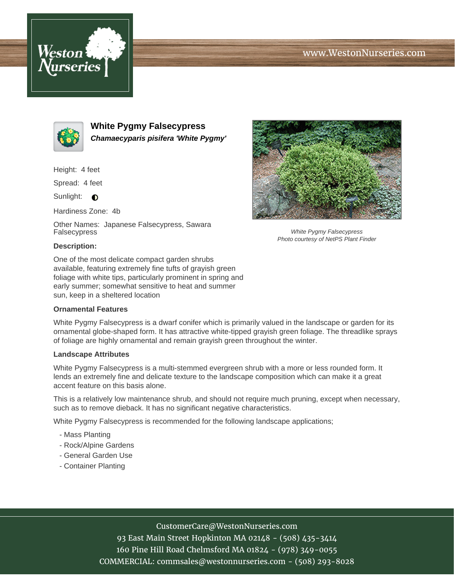# www.WestonNurseries.com





**White Pygmy Falsecypress Chamaecyparis pisifera 'White Pygmy'**

Height: 4 feet

Spread: 4 feet

Sunlight:  $\bigcirc$ 

Hardiness Zone: 4b

Other Names: Japanese Falsecypress, Sawara Falsecypress



White Pygmy Falsecypress Photo courtesy of NetPS Plant Finder

### **Description:**

One of the most delicate compact garden shrubs available, featuring extremely fine tufts of grayish green foliage with white tips, particularly prominent in spring and early summer; somewhat sensitive to heat and summer sun, keep in a sheltered location

#### **Ornamental Features**

White Pygmy Falsecypress is a dwarf conifer which is primarily valued in the landscape or garden for its ornamental globe-shaped form. It has attractive white-tipped grayish green foliage. The threadlike sprays of foliage are highly ornamental and remain grayish green throughout the winter.

### **Landscape Attributes**

White Pygmy Falsecypress is a multi-stemmed evergreen shrub with a more or less rounded form. It lends an extremely fine and delicate texture to the landscape composition which can make it a great accent feature on this basis alone.

This is a relatively low maintenance shrub, and should not require much pruning, except when necessary, such as to remove dieback. It has no significant negative characteristics.

White Pygmy Falsecypress is recommended for the following landscape applications;

- Mass Planting
- Rock/Alpine Gardens
- General Garden Use
- Container Planting

## CustomerCare@WestonNurseries.com

93 East Main Street Hopkinton MA 02148 - (508) 435-3414 160 Pine Hill Road Chelmsford MA 01824 - (978) 349-0055 COMMERCIAL: commsales@westonnurseries.com - (508) 293-8028